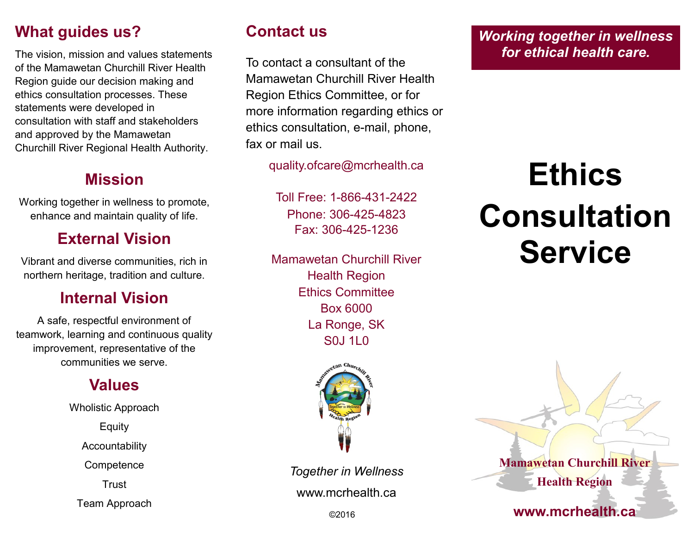## **What guides us?**

The vision, mission and values statements of the Mamawetan Churchill River Health Region guide our decision making and ethics consultation processes. These statements were developed in consultation with staff and stakeholders and approved by the Mamawetan Churchill River Regional Health Authority.

#### **Mission**

Working together in wellness to promote, enhance and maintain quality of life.

#### **External Vision**

Vibrant and diverse communities, rich in northern heritage, tradition and culture.

#### **Internal Vision**

A safe, respectful environment of teamwork, learning and continuous quality improvement, representative of the communities we serve.

#### **Values**

Wholistic Approach

Equity

Accountability

**Competence** 

Trust

Team Approach

# **Contact us**

To contact a consultant of the Mamawetan Churchill River Health Region Ethics Committee, or for more information regarding ethics or ethics consultation, e-mail, phone, fax or mail us.

quality.ofcare@mcrhealth.ca

Toll Free: 1-866-431-2422 Phone: 306-425-4823 Fax: 306-425-1236

Mamawetan Churchill River Health Region Ethics Committee Box 6000 La Ronge, SK S0J 1L0



*Together in Wellness* www.mcrhealth.ca

*Working together in wellness for ethical health care.*

# **Ethics Consultation Service**